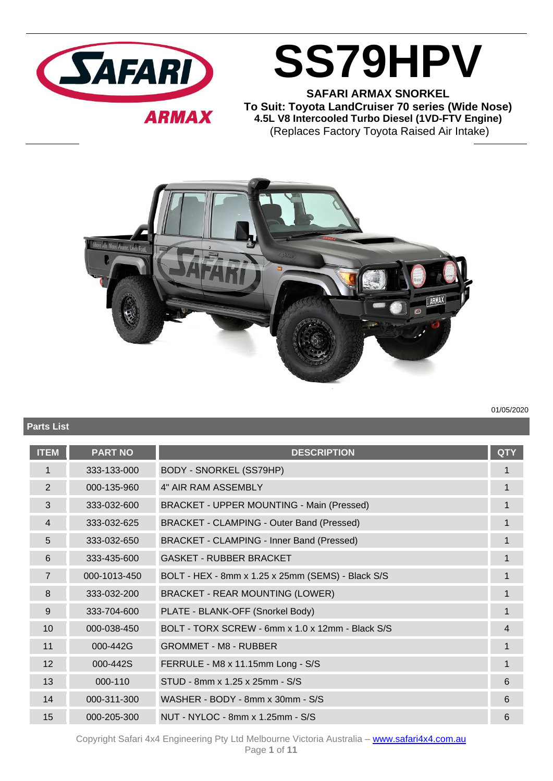

**SS79HPV SAFARI ARMAX SNORKEL**

**To Suit: Toyota LandCruiser 70 series (Wide Nose) 4.5L V8 Intercooled Turbo Diesel (1VD-FTV Engine)** (Replaces Factory Toyota Raised Air Intake)



**Parts List**

01/05/2020

| <b>ITEM</b>     | <b>PART NO</b> | <b>DESCRIPTION</b>                                | <b>QTY</b>  |
|-----------------|----------------|---------------------------------------------------|-------------|
| 1               | 333-133-000    | <b>BODY - SNORKEL (SS79HP)</b>                    |             |
| 2               | 000-135-960    | 4" AIR RAM ASSEMBLY                               | 1           |
| 3               | 333-032-600    | BRACKET - UPPER MOUNTING - Main (Pressed)         | 1           |
| $\overline{4}$  | 333-032-625    | BRACKET - CLAMPING - Outer Band (Pressed)         | $\mathbf 1$ |
| 5               | 333-032-650    | BRACKET - CLAMPING - Inner Band (Pressed)         | 1           |
| 6               | 333-435-600    | <b>GASKET - RUBBER BRACKET</b>                    | 1           |
| $\overline{7}$  | 000-1013-450   | BOLT - HEX - 8mm x 1.25 x 25mm (SEMS) - Black S/S | $\mathbf 1$ |
| 8               | 333-032-200    | <b>BRACKET - REAR MOUNTING (LOWER)</b>            | 1           |
| 9               | 333-704-600    | PLATE - BLANK-OFF (Snorkel Body)                  | 1           |
| 10 <sup>1</sup> | 000-038-450    | BOLT - TORX SCREW - 6mm x 1.0 x 12mm - Black S/S  | 4           |
| 11              | 000-442G       | <b>GROMMET - M8 - RUBBER</b>                      | 1           |
| 12              | 000-442S       | FERRULE - M8 x 11.15mm Long - S/S                 | $\mathbf 1$ |
| 13              | 000-110        | STUD - 8mm x 1.25 x 25mm - S/S                    | 6           |
| 14              | 000-311-300    | WASHER - BODY - 8mm x 30mm - S/S                  | 6           |
| 15              | 000-205-300    | NUT - NYLOC - 8mm x 1.25mm - S/S                  | 6           |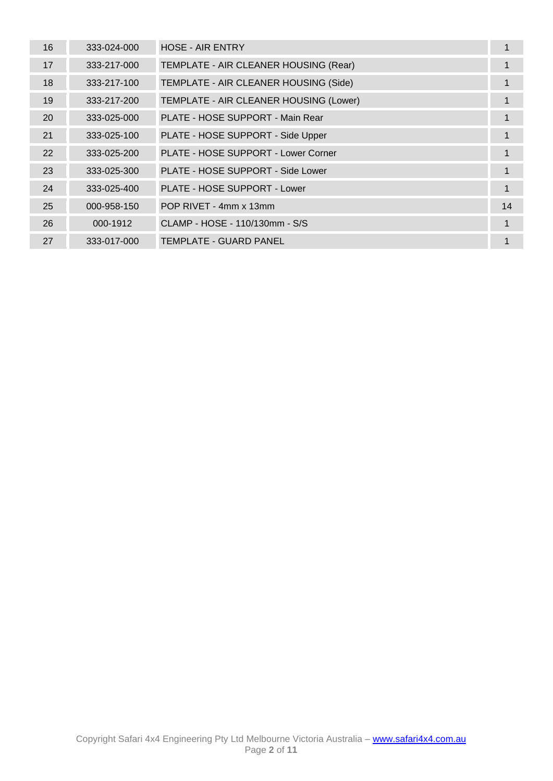| 16 | 333-024-000 | <b>HOSE - AIR ENTRY</b>                |    |
|----|-------------|----------------------------------------|----|
| 17 | 333-217-000 | TEMPLATE - AIR CLEANER HOUSING (Rear)  | 1  |
| 18 | 333-217-100 | TEMPLATE - AIR CLEANER HOUSING (Side)  | 1  |
| 19 | 333-217-200 | TEMPLATE - AIR CLEANER HOUSING (Lower) | 1  |
| 20 | 333-025-000 | PLATE - HOSE SUPPORT - Main Rear       |    |
| 21 | 333-025-100 | PLATE - HOSE SUPPORT - Side Upper      |    |
| 22 | 333-025-200 | PLATE - HOSE SUPPORT - Lower Corner    | 1  |
| 23 | 333-025-300 | PLATE - HOSE SUPPORT - Side Lower      | 1  |
| 24 | 333-025-400 | PLATE - HOSE SUPPORT - Lower           | 1  |
| 25 | 000-958-150 | POP RIVET - 4mm x 13mm                 | 14 |
| 26 | 000-1912    | CLAMP - HOSE - 110/130mm - S/S         | 1  |
| 27 | 333-017-000 | <b>TEMPLATE - GUARD PANEL</b>          | 1  |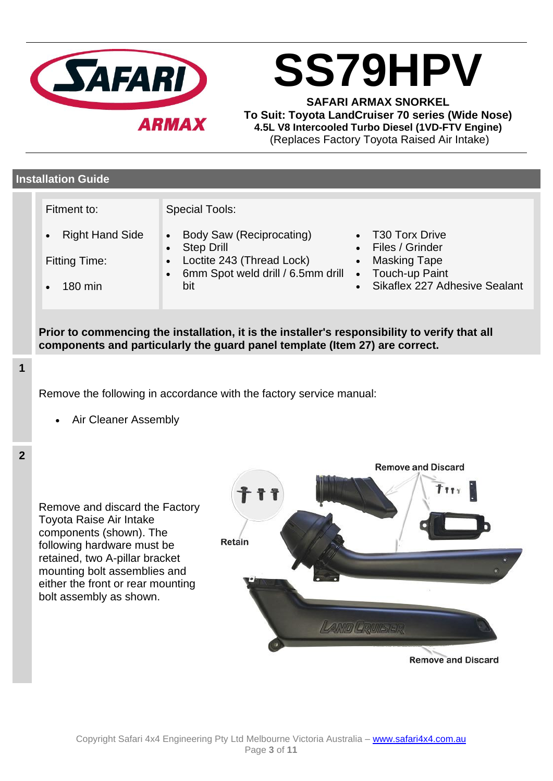

**SS79HPV**

**SAFARI ARMAX SNORKEL To Suit: Toyota LandCruiser 70 series (Wide Nose) 4.5L V8 Intercooled Turbo Diesel (1VD-FTV Engine)** (Replaces Factory Toyota Raised Air Intake)

# **Installation Guide**

Fitment to:

- Special Tools:
- Body Saw (Reciprocating)
- **Step Drill**
- Fitting Time:

• Right Hand Side

- 180 min
- Loctite 243 (Thread Lock) • 6mm Spot weld drill / 6.5mm drill
- bit
- T30 Torx Drive
- Files / Grinder
- Masking Tape
- Touch-up Paint
- Sikaflex 227 Adhesive Sealant

**Prior to commencing the installation, it is the installer's responsibility to verify that all components and particularly the guard panel template (Item 27) are correct.**

**1**

Remove the following in accordance with the factory service manual:

• Air Cleaner Assembly



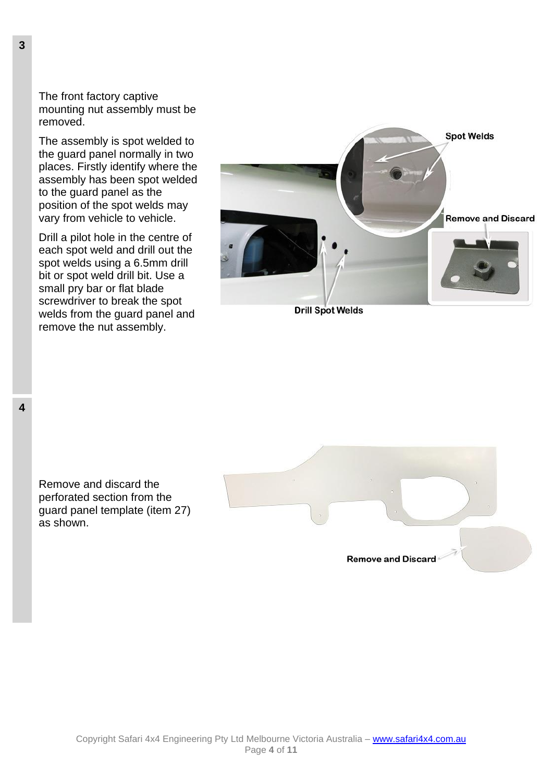The front factory captive mounting nut assembly must be removed.

The assembly is spot welded to the guard panel normally in two places. Firstly identify where the assembly has been spot welded to the guard panel as the position of the spot welds may vary from vehicle to vehicle.

Drill a pilot hole in the centre of each spot weld and drill out the spot welds using a 6.5mm drill bit or spot weld drill bit. Use a small pry bar or flat blade screwdriver to break the spot welds from the guard panel and remove the nut assembly.



**Drill Spot Welds** 

Remove and discard the perforated section from the guard panel template (item 27) as shown.



Page **4** of **11**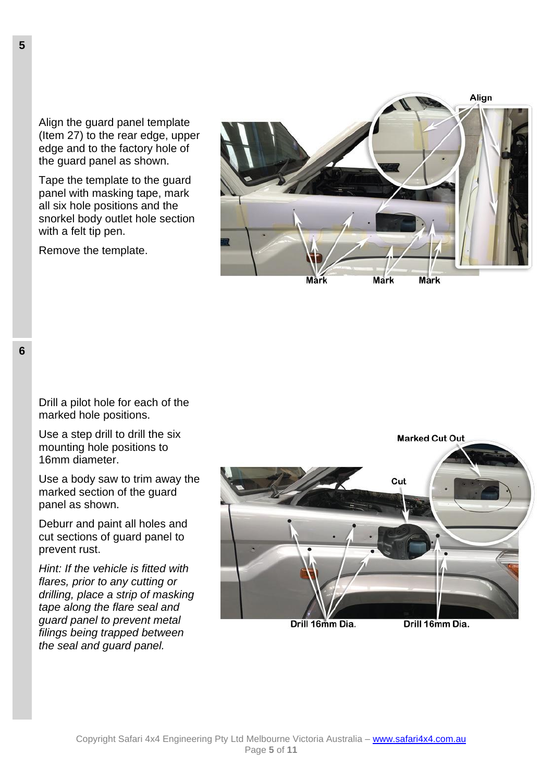Align the guard panel template (Item 27) to the rear edge, upper edge and to the factory hole of the guard panel as shown.

Tape the template to the guard panel with masking tape, mark all six hole positions and the snorkel body outlet hole section with a felt tip pen.

Remove the template.



**5**

Drill a pilot hole for each of the marked hole positions.

Use a step drill to drill the six mounting hole positions to 16mm diameter.

Use a body saw to trim away the marked section of the guard panel as shown.

Deburr and paint all holes and cut sections of guard panel to prevent rust.

*Hint: If the vehicle is fitted with flares, prior to any cutting or drilling, place a strip of masking tape along the flare seal and guard panel to prevent metal filings being trapped between the seal and guard panel.*



Drill 16mm Dia.

Drill 16mm Dia.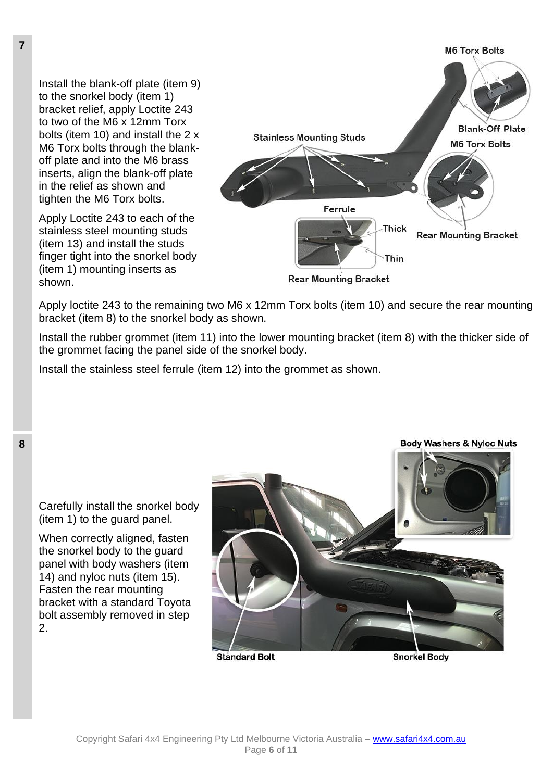Install the blank-off plate (item 9) to the snorkel body (item 1) bracket relief, apply Loctite 243 to two of the M6 x 12mm Torx bolts (item 10) and install the 2 x M6 Torx bolts through the blankoff plate and into the M6 brass inserts, align the blank-off plate in the relief as shown and tighten the M6 Torx bolts.

Apply Loctite 243 to each of the stainless steel mounting studs (item 13) and install the studs finger tight into the snorkel body (item 1) mounting inserts as shown.



Apply loctite 243 to the remaining two M6 x 12mm Torx bolts (item 10) and secure the rear mounting bracket (item 8) to the snorkel body as shown.

Install the rubber grommet (item 11) into the lower mounting bracket (item 8) with the thicker side of the grommet facing the panel side of the snorkel body.

Install the stainless steel ferrule (item 12) into the grommet as shown.



**Standard Bolt** 

**Snorkel Body** 

**8**

Carefully install the snorkel body (item 1) to the guard panel.

When correctly aligned, fasten the snorkel body to the guard panel with body washers (item 14) and nyloc nuts (item 15). Fasten the rear mounting bracket with a standard Toyota bolt assembly removed in step  $\mathcal{P}$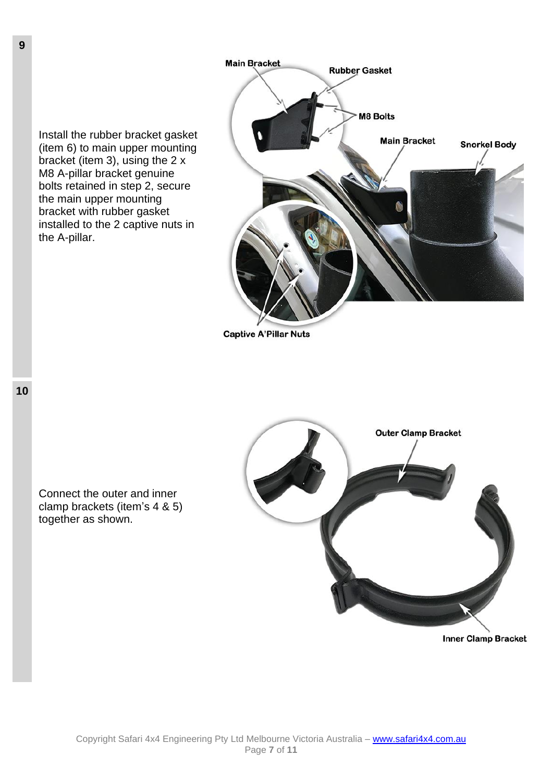

**Captive A'Pillar Nuts** 





**Inner Clamp Bracket** 

the A-pillar.

**9**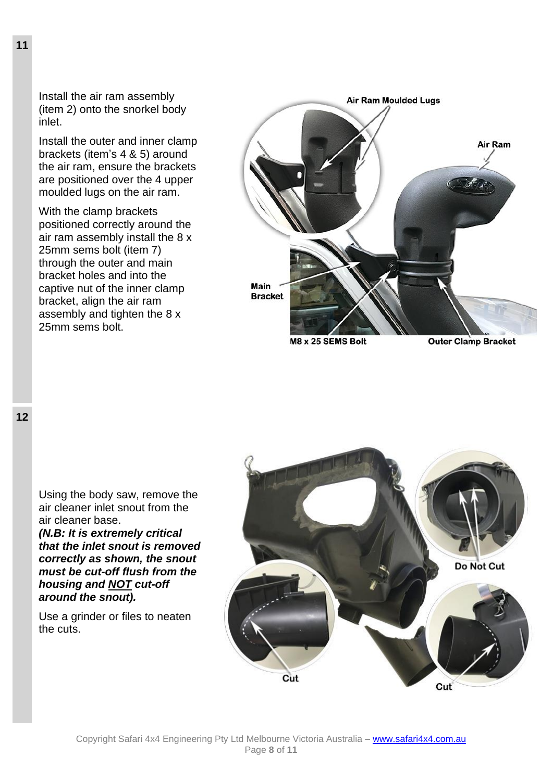Install the air ram assembly (item 2) onto the snorkel body inlet.

Install the outer and inner clamp brackets (item's 4 & 5) around the air ram, ensure the brackets are positioned over the 4 upper moulded lugs on the air ram.

With the clamp brackets positioned correctly around the air ram assembly install the 8 x 25mm sems bolt (item 7) through the outer and main bracket holes and into the captive nut of the inner clamp bracket, align the air ram assembly and tighten the 8 x 25mm sems bolt.



**Outer Clamp Bracket** 

Using the body saw, remove the air cleaner inlet snout from the air cleaner base.

*(N.B: It is extremely critical that the inlet snout is removed correctly as shown, the snout must be cut-off flush from the housing and NOT cut-off around the snout).*

Use a grinder or files to neaten the cuts.

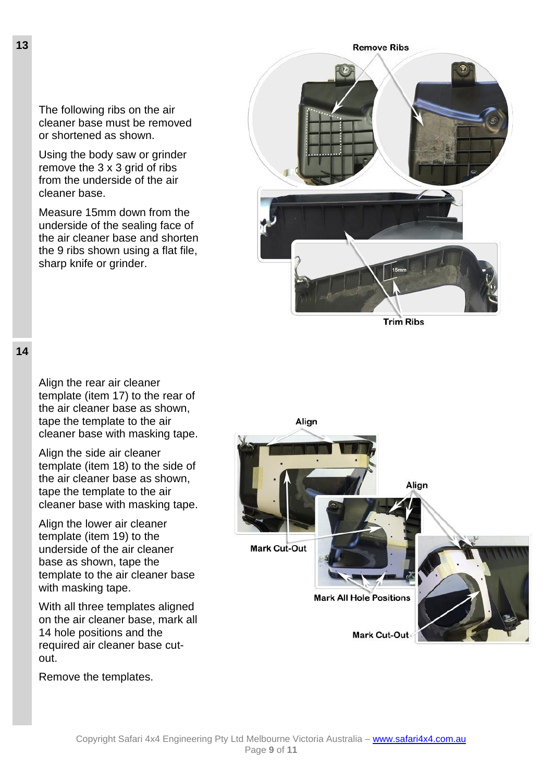The following ribs on the air cleaner base must be removed or shortened as shown.

Using the body saw or grinder remove the 3 x 3 grid of ribs from the underside of the air cleaner base.

Measure 15mm down from the underside of the sealing face of the air cleaner base and shorten the 9 ribs shown using a flat file, sharp knife or grinder.



**Trim Ribs** 

**14**

Align the rear air cleaner template (item 17) to the rear of the air cleaner base as shown, tape the template to the air cleaner base with masking tape.

Align the side air cleaner template (item 18) to the side of the air cleaner base as shown, tape the template to the air cleaner base with masking tape.

Align the lower air cleaner template (item 19) to the underside of the air cleaner base as shown, tape the template to the air cleaner base with masking tape.

With all three templates aligned on the air cleaner base, mark all 14 hole positions and the required air cleaner base cutout.

Remove the templates.

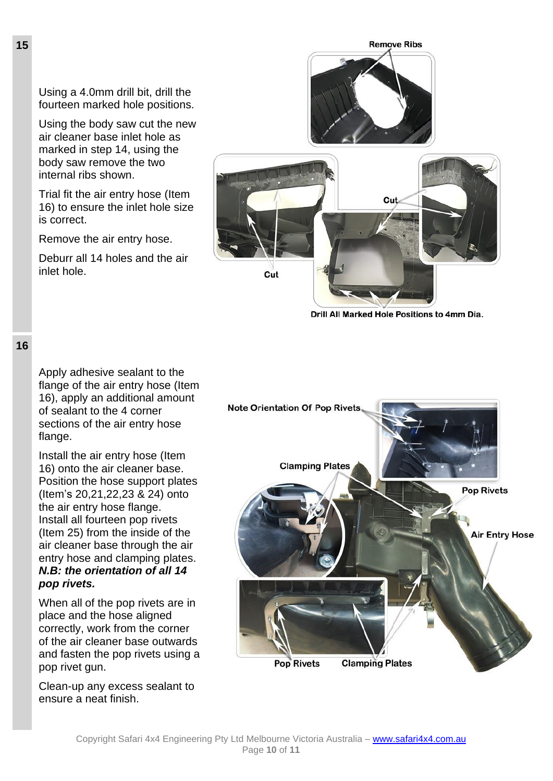Using a 4.0mm drill bit, drill the fourteen marked hole positions.

Using the body saw cut the new air cleaner base inlet hole as marked in step 14, using the body saw remove the two internal ribs shown.

Trial fit the air entry hose (Item 16) to ensure the inlet hole size is correct.

Remove the air entry hose.

Deburr all 14 holes and the air inlet hole.





Drill All Marked Hole Positions to 4mm Dia.

### **16**

Apply adhesive sealant to the flange of the air entry hose (Item 16), apply an additional amount of sealant to the 4 corner sections of the air entry hose flange.

Install the air entry hose (Item 16) onto the air cleaner base. Position the hose support plates (Item's 20,21,22,23 & 24) onto the air entry hose flange. Install all fourteen pop rivets (Item 25) from the inside of the air cleaner base through the air entry hose and clamping plates. *N.B: the orientation of all 14 pop rivets[.](file:///C:/Users/deawic/Staff%20Folders/Matthew/SAFARI%20Info/Snorkel%20Installation%20Instructions/ss70hf/www.safarisnorkel.com/guides/TOYOTA/ss70hf/entry_hose.jpg)*

When all of the pop rivets are in place and the hose aligned correctly, work from the corner of the air cleaner base outwards and fasten the pop rivets using a pop rivet gun.

Clean-up any excess sealant to ensure a neat finish.